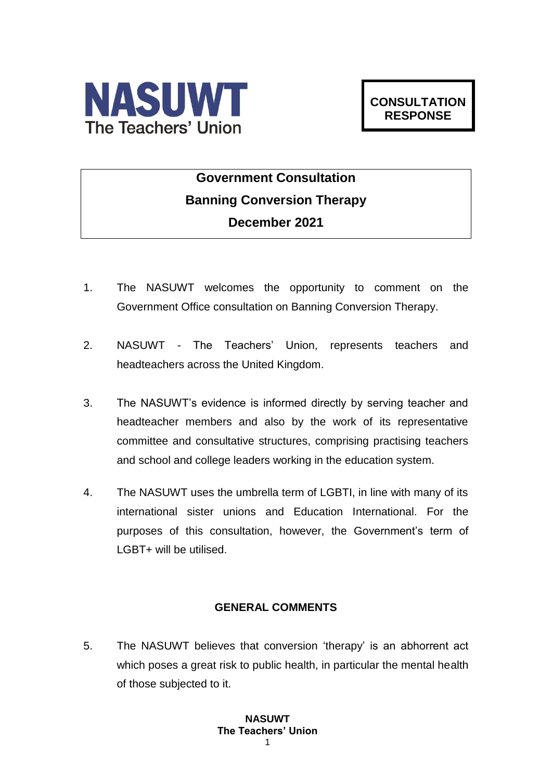

# **Government Consultation Banning Conversion Therapy December 2021**

- 1. The NASUWT welcomes the opportunity to comment on the Government Office consultation on Banning Conversion Therapy.
- 2. NASUWT The Teachers' Union, represents teachers and headteachers across the United Kingdom.
- 3. The NASUWT's evidence is informed directly by serving teacher and headteacher members and also by the work of its representative committee and consultative structures, comprising practising teachers and school and college leaders working in the education system.
- 4. The NASUWT uses the umbrella term of LGBTI, in line with many of its international sister unions and Education International. For the purposes of this consultation, however, the Government's term of LGBT+ will be utilised.

## **GENERAL COMMENTS**

5. The NASUWT believes that conversion 'therapy' is an abhorrent act which poses a great risk to public health, in particular the mental health of those subjected to it.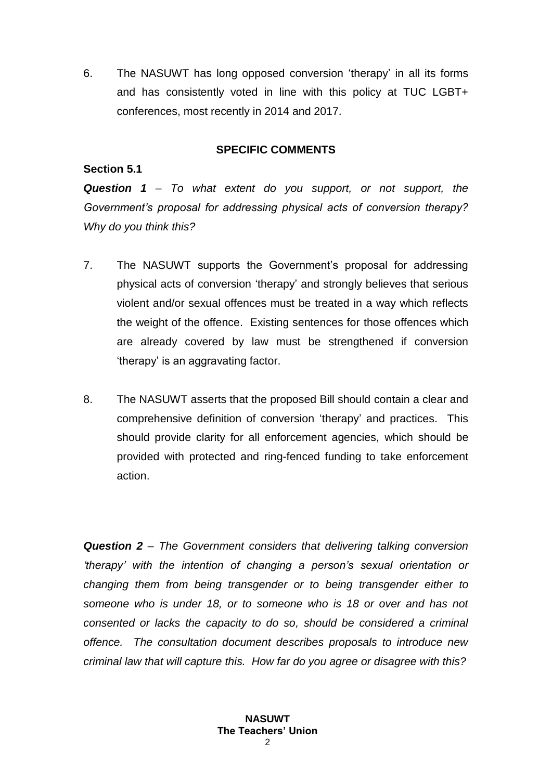6. The NASUWT has long opposed conversion 'therapy' in all its forms and has consistently voted in line with this policy at TUC LGBT+ conferences, most recently in 2014 and 2017.

### **SPECIFIC COMMENTS**

#### **Section 5.1**

*Question 1 – To what extent do you support, or not support, the Government's proposal for addressing physical acts of conversion therapy? Why do you think this?*

- 7. The NASUWT supports the Government's proposal for addressing physical acts of conversion 'therapy' and strongly believes that serious violent and/or sexual offences must be treated in a way which reflects the weight of the offence. Existing sentences for those offences which are already covered by law must be strengthened if conversion 'therapy' is an aggravating factor.
- 8. The NASUWT asserts that the proposed Bill should contain a clear and comprehensive definition of conversion 'therapy' and practices. This should provide clarity for all enforcement agencies, which should be provided with protected and ring-fenced funding to take enforcement action.

*Question 2 – The Government considers that delivering talking conversion 'therapy' with the intention of changing a person's sexual orientation or changing them from being transgender or to being transgender either to someone who is under 18, or to someone who is 18 or over and has not consented or lacks the capacity to do so, should be considered a criminal offence. The consultation document describes proposals to introduce new criminal law that will capture this. How far do you agree or disagree with this?*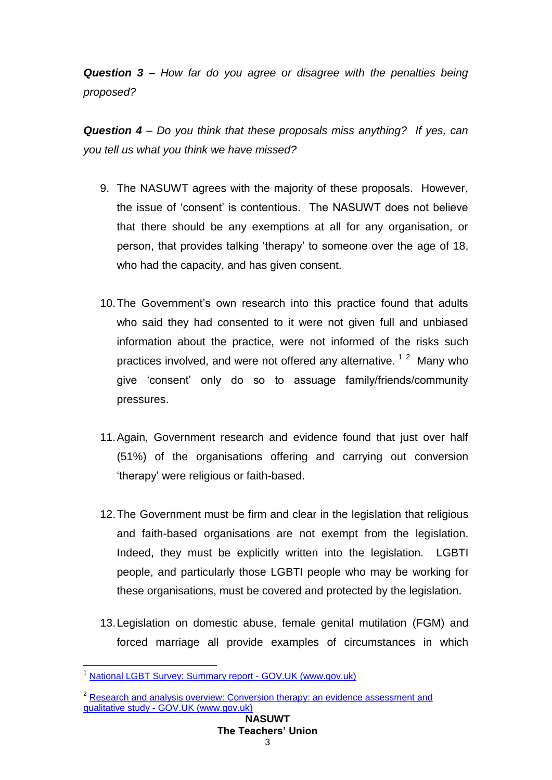*Question 3 – How far do you agree or disagree with the penalties being proposed?*

*Question 4 – Do you think that these proposals miss anything? If yes, can you tell us what you think we have missed?*

- 9. The NASUWT agrees with the majority of these proposals. However, the issue of 'consent' is contentious. The NASUWT does not believe that there should be any exemptions at all for any organisation, or person, that provides talking 'therapy' to someone over the age of 18, who had the capacity, and has given consent.
- 10.The Government's own research into this practice found that adults who said they had consented to it were not given full and unbiased information about the practice, were not informed of the risks such practices involved, and were not offered any alternative. <sup>12</sup> Many who give 'consent' only do so to assuage family/friends/community pressures.
- 11.Again, Government research and evidence found that just over half (51%) of the organisations offering and carrying out conversion 'therapy' were religious or faith-based.
- 12.The Government must be firm and clear in the legislation that religious and faith-based organisations are not exempt from the legislation. Indeed, they must be explicitly written into the legislation. LGBTI people, and particularly those LGBTI people who may be working for these organisations, must be covered and protected by the legislation.
- 13.Legislation on domestic abuse, female genital mutilation (FGM) and forced marriage all provide examples of circumstances in which

1

<sup>&</sup>lt;sup>1</sup> [National LGBT Survey: Summary report -](https://www.gov.uk/government/publications/national-lgbt-survey-summary-report/national-lgbt-survey-summary-report) GOV.UK (www.gov.uk)

<sup>&</sup>lt;sup>2</sup> Research and analysis overview: Conversion therapy: an evidence assessment and qualitative study - [GOV.UK \(www.gov.uk\)](https://www.gov.uk/government/publications/conversion-therapy-an-evidence-assessment-and-qualitative-study)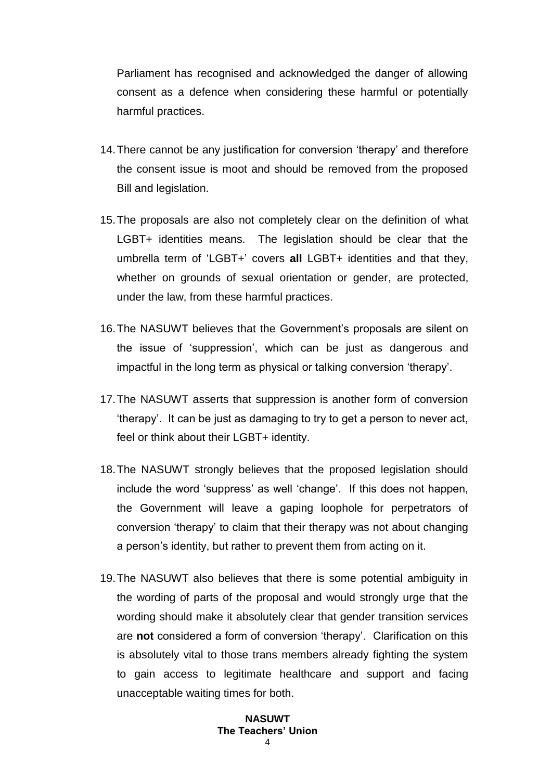Parliament has recognised and acknowledged the danger of allowing consent as a defence when considering these harmful or potentially harmful practices.

- 14.There cannot be any justification for conversion 'therapy' and therefore the consent issue is moot and should be removed from the proposed Bill and legislation.
- 15.The proposals are also not completely clear on the definition of what LGBT+ identities means. The legislation should be clear that the umbrella term of 'LGBT+' covers **all** LGBT+ identities and that they, whether on grounds of sexual orientation or gender, are protected, under the law, from these harmful practices.
- 16.The NASUWT believes that the Government's proposals are silent on the issue of 'suppression', which can be just as dangerous and impactful in the long term as physical or talking conversion 'therapy'.
- 17.The NASUWT asserts that suppression is another form of conversion 'therapy'. It can be just as damaging to try to get a person to never act, feel or think about their LGBT+ identity.
- 18.The NASUWT strongly believes that the proposed legislation should include the word 'suppress' as well 'change'. If this does not happen, the Government will leave a gaping loophole for perpetrators of conversion 'therapy' to claim that their therapy was not about changing a person's identity, but rather to prevent them from acting on it.
- 19.The NASUWT also believes that there is some potential ambiguity in the wording of parts of the proposal and would strongly urge that the wording should make it absolutely clear that gender transition services are **not** considered a form of conversion 'therapy'. Clarification on this is absolutely vital to those trans members already fighting the system to gain access to legitimate healthcare and support and facing unacceptable waiting times for both.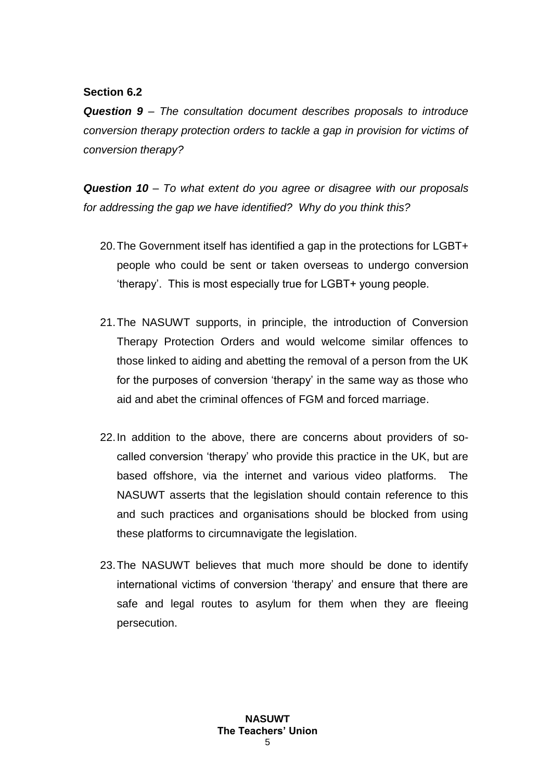## **Section 6.2**

*Question 9 – The consultation document describes proposals to introduce conversion therapy protection orders to tackle a gap in provision for victims of conversion therapy?*

*Question 10 – To what extent do you agree or disagree with our proposals for addressing the gap we have identified? Why do you think this?*

- 20.The Government itself has identified a gap in the protections for LGBT+ people who could be sent or taken overseas to undergo conversion 'therapy'. This is most especially true for LGBT+ young people.
- 21.The NASUWT supports, in principle, the introduction of Conversion Therapy Protection Orders and would welcome similar offences to those linked to aiding and abetting the removal of a person from the UK for the purposes of conversion 'therapy' in the same way as those who aid and abet the criminal offences of FGM and forced marriage.
- 22.In addition to the above, there are concerns about providers of socalled conversion 'therapy' who provide this practice in the UK, but are based offshore, via the internet and various video platforms. The NASUWT asserts that the legislation should contain reference to this and such practices and organisations should be blocked from using these platforms to circumnavigate the legislation.
- 23.The NASUWT believes that much more should be done to identify international victims of conversion 'therapy' and ensure that there are safe and legal routes to asylum for them when they are fleeing persecution.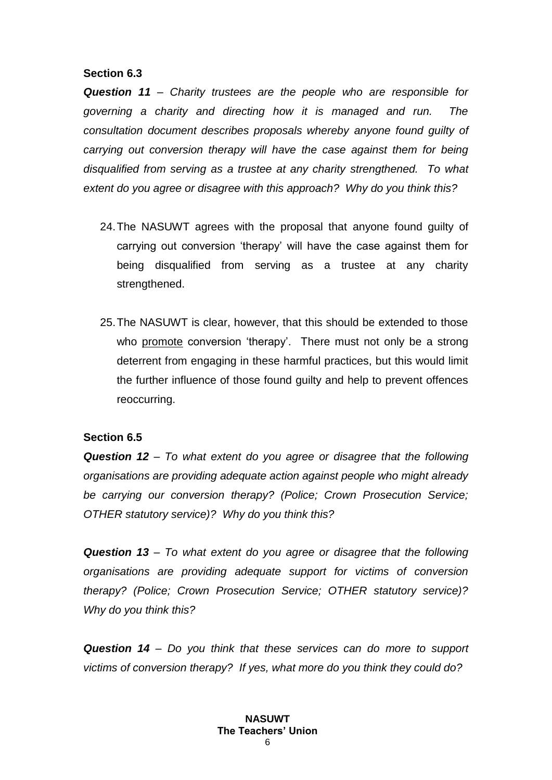#### **Section 6.3**

*Question 11 – Charity trustees are the people who are responsible for governing a charity and directing how it is managed and run. The consultation document describes proposals whereby anyone found guilty of carrying out conversion therapy will have the case against them for being disqualified from serving as a trustee at any charity strengthened. To what extent do you agree or disagree with this approach? Why do you think this?*

- 24.The NASUWT agrees with the proposal that anyone found guilty of carrying out conversion 'therapy' will have the case against them for being disqualified from serving as a trustee at any charity strengthened.
- 25.The NASUWT is clear, however, that this should be extended to those who promote conversion 'therapy'. There must not only be a strong deterrent from engaging in these harmful practices, but this would limit the further influence of those found guilty and help to prevent offences reoccurring.

### **Section 6.5**

*Question 12 – To what extent do you agree or disagree that the following organisations are providing adequate action against people who might already be carrying our conversion therapy? (Police; Crown Prosecution Service; OTHER statutory service)? Why do you think this?*

*Question 13 – To what extent do you agree or disagree that the following organisations are providing adequate support for victims of conversion therapy? (Police; Crown Prosecution Service; OTHER statutory service)? Why do you think this?*

*Question 14 – Do you think that these services can do more to support victims of conversion therapy? If yes, what more do you think they could do?*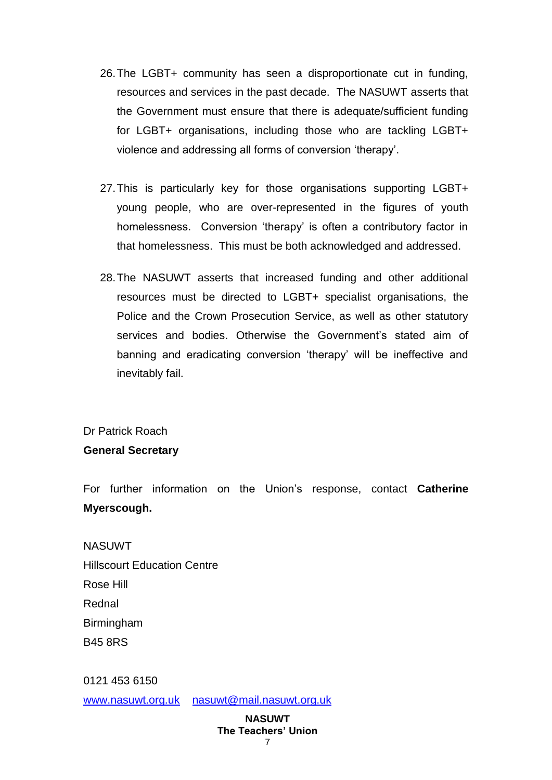- 26.The LGBT+ community has seen a disproportionate cut in funding, resources and services in the past decade. The NASUWT asserts that the Government must ensure that there is adequate/sufficient funding for LGBT+ organisations, including those who are tackling LGBT+ violence and addressing all forms of conversion 'therapy'.
- 27.This is particularly key for those organisations supporting LGBT+ young people, who are over-represented in the figures of youth homelessness. Conversion 'therapy' is often a contributory factor in that homelessness. This must be both acknowledged and addressed.
- 28.The NASUWT asserts that increased funding and other additional resources must be directed to LGBT+ specialist organisations, the Police and the Crown Prosecution Service, as well as other statutory services and bodies. Otherwise the Government's stated aim of banning and eradicating conversion 'therapy' will be ineffective and inevitably fail.

## Dr Patrick Roach

## **General Secretary**

For further information on the Union's response, contact **Catherine Myerscough.**

**NASUWT** Hillscourt Education Centre Rose Hill Rednal Birmingham B45 8RS

0121 453 6150

[www.nasuwt.org.uk](http://www.teachersunion.org.uk/) [nasuwt@mail.nasuwt.org.uk](mailto:nasuwt@mail.nasuwt.org.uk)

#### **NASUWT The Teachers' Union** 7